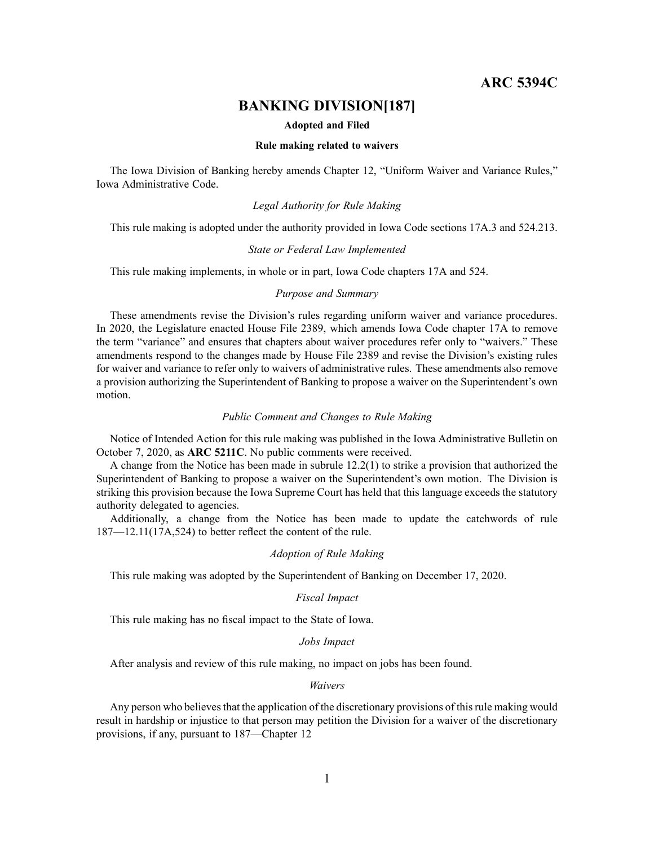# **ARC 5394C**

# **BANKING DIVISION[187]**

#### **Adopted and Filed**

#### **Rule making related to waivers**

The Iowa Division of Banking hereby amends Chapter 12, "Uniform Waiver and Variance Rules," Iowa Administrative Code.

## *Legal Authority for Rule Making*

This rule making is adopted under the authority provided in Iowa Code sections 17A.3 and 524.213.

#### *State or Federal Law Implemented*

This rule making implements, in whole or in part, Iowa Code chapters 17A and 524.

## *Purpose and Summary*

These amendments revise the Division's rules regarding uniform waiver and variance procedures. In 2020, the Legislature enacted House File 2389, which amends Iowa Code chapter 17A to remove the term "variance" and ensures that chapters about waiver procedures refer only to "waivers." These amendments respond to the changes made by House File 2389 and revise the Division's existing rules for waiver and variance to refer only to waivers of administrative rules. These amendments also remove <sup>a</sup> provision authorizing the Superintendent of Banking to propose <sup>a</sup> waiver on the Superintendent's own motion.

## *Public Comment and Changes to Rule Making*

Notice of Intended Action for this rule making was published in the Iowa Administrative Bulletin on October 7, 2020, as **ARC 5211C**. No public comments were received.

A change from the Notice has been made in subrule 12.2(1) to strike <sup>a</sup> provision that authorized the Superintendent of Banking to propose <sup>a</sup> waiver on the Superintendent's own motion. The Division is striking this provision because the Iowa Supreme Court has held that this language exceeds the statutory authority delegated to agencies.

Additionally, <sup>a</sup> change from the Notice has been made to update the catchwords of rule 187—12.11(17A,524) to better reflect the content of the rule.

#### *Adoption of Rule Making*

This rule making was adopted by the Superintendent of Banking on December 17, 2020.

#### *Fiscal Impact*

This rule making has no fiscal impact to the State of Iowa.

#### *Jobs Impact*

After analysis and review of this rule making, no impact on jobs has been found.

## *Waivers*

Any person who believes that the application of the discretionary provisions of this rule making would result in hardship or injustice to that person may petition the Division for <sup>a</sup> waiver of the discretionary provisions, if any, pursuan<sup>t</sup> to 187—Chapter 12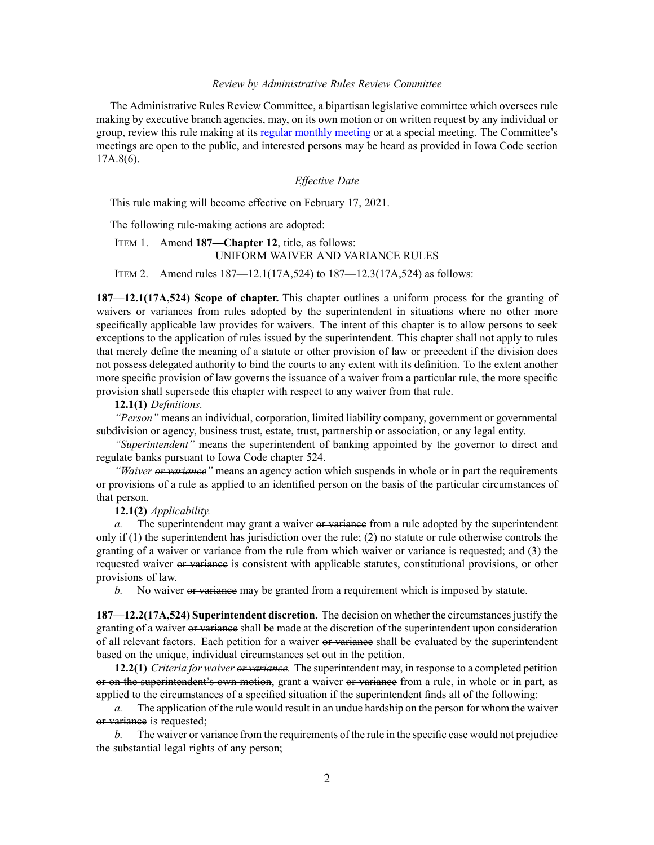#### *Review by Administrative Rules Review Committee*

The Administrative Rules Review Committee, <sup>a</sup> bipartisan legislative committee which oversees rule making by executive branch agencies, may, on its own motion or on written reques<sup>t</sup> by any individual or group, review this rule making at its regular [monthly](https://www.legis.iowa.gov/committees/meetings/meetingsListComm?groupID=705&ga=88) meeting or at <sup>a</sup> special meeting. The Committee's meetings are open to the public, and interested persons may be heard as provided in Iowa Code section 17A.8(6).

## *Effective Date*

This rule making will become effective on February 17, 2021.

The following rule-making actions are adopted:

## ITEM 1. Amend **187—Chapter 12**, title, as follows: UNIFORM WAIVER AND VARIANCE RULES

ITEM 2. Amend rules 187—12.1(17A,524) to 187—12.3(17A,524) as follows:

**187—12.1(17A,524) Scope of chapter.** This chapter outlines <sup>a</sup> uniform process for the granting of waivers or variances from rules adopted by the superintendent in situations where no other more specifically applicable law provides for waivers. The intent of this chapter is to allow persons to seek exceptions to the application of rules issued by the superintendent. This chapter shall not apply to rules that merely define the meaning of <sup>a</sup> statute or other provision of law or precedent if the division does not possess delegated authority to bind the courts to any extent with its definition. To the extent another more specific provision of law governs the issuance of <sup>a</sup> waiver from <sup>a</sup> particular rule, the more specific provision shall supersede this chapter with respec<sup>t</sup> to any waiver from that rule.

## **12.1(1)** *Definitions.*

*"Person"* means an individual, corporation, limited liability company, governmen<sup>t</sup> or governmental subdivision or agency, business trust, estate, trust, partnership or association, or any legal entity.

*"Superintendent"* means the superintendent of banking appointed by the governor to direct and regulate banks pursuan<sup>t</sup> to Iowa Code chapter [524](https://www.legis.iowa.gov/docs/ico/chapter/524.pdf).

*"Waiver or variance"* means an agency action which suspends in whole or in par<sup>t</sup> the requirements or provisions of <sup>a</sup> rule as applied to an identified person on the basis of the particular circumstances of that person.

## **12.1(2)** *Applicability.*

*a.* The superintendent may grant a waiver or variance from a rule adopted by the superintendent only if (1) the superintendent has jurisdiction over the rule; (2) no statute or rule otherwise controls the granting of a waiver or variance from the rule from which waiver or variance is requested; and (3) the requested waiver or variance is consistent with applicable statutes, constitutional provisions, or other provisions of law.

*b.* No waiver or variance may be granted from a requirement which is imposed by statute.

**187—12.2(17A,524) Superintendent discretion.** The decision on whether the circumstancesjustify the granting of a waiver or variance shall be made at the discretion of the superintendent upon consideration of all relevant factors. Each petition for a waiver or variance shall be evaluated by the superintendent based on the unique, individual circumstances set out in the petition.

**12.2(1)** *Criteria for waiver or variance.* The superintendent may, in response to <sup>a</sup> completed petition or on the superintendent's own motion, gran<sup>t</sup> <sup>a</sup> waiver or variance from <sup>a</sup> rule, in whole or in part, as applied to the circumstances of <sup>a</sup> specified situation if the superintendent finds all of the following:

*a.* The application of the rule would result in an undue hardship on the person for whom the waiver or variance is requested;

*b.* The waiver or variance from the requirements of the rule in the specific case would not prejudice the substantial legal rights of any person;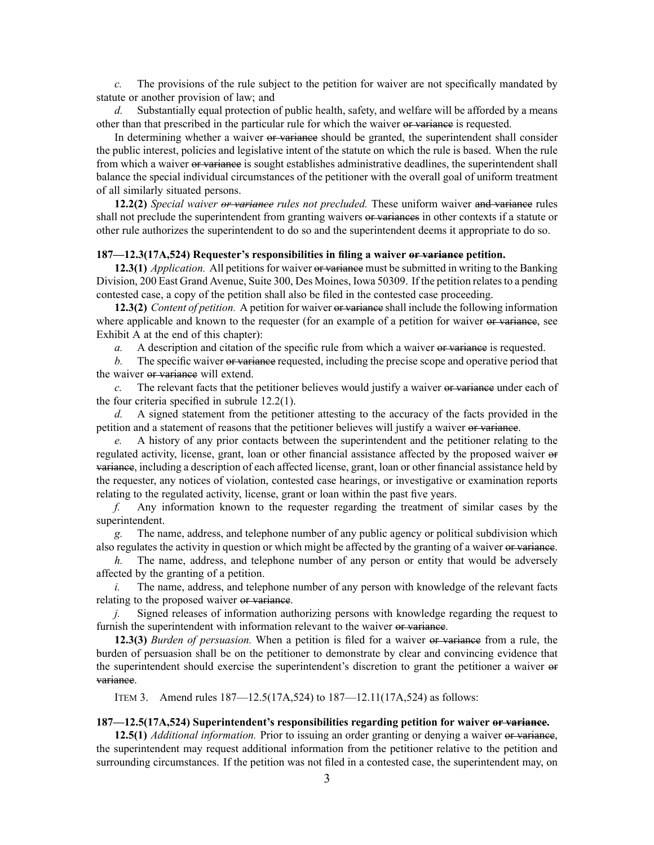*c.* The provisions of the rule subject to the petition for waiver are not specifically mandated by statute or another provision of law; and

*d.* Substantially equal protection of public health, safety, and welfare will be afforded by <sup>a</sup> means other than that prescribed in the particular rule for which the waiver or variance is requested.

In determining whether a waiver or variance should be granted, the superintendent shall consider the public interest, policies and legislative intent of the statute on which the rule is based. When the rule from which a waiver or variance is sought establishes administrative deadlines, the superintendent shall balance the special individual circumstances of the petitioner with the overall goal of uniform treatment of all similarly situated persons.

**12.2(2)** *Special waiver or variance rules not precluded.* These uniform waiver and variance rules shall not preclude the superintendent from granting waivers or variances in other contexts if a statute or other rule authorizes the superintendent to do so and the superintendent deems it appropriate to do so.

### **187—12.3(17A,524) Requester's responsibilities in filing <sup>a</sup> waiver or variance petition.**

**12.3(1)** *Application.* All petitions for waiver or variance must be submitted in writing to the Banking Division, 200 East Grand Avenue, Suite 300, Des Moines, Iowa 50309. If the petition relates to a pending contested case, <sup>a</sup> copy of the petition shall also be filed in the contested case proceeding.

**12.3(2)** *Content of petition.* A petition for waiver or variance shall include the following information where applicable and known to the requester (for an example of a petition for waiver or variance, see Exhibit A at the end of this chapter):

*a.* A description and citation of the specific rule from which a waiver or variance is requested.

*b.* The specific waiver or variance requested, including the precise scope and operative period that the waiver or variance will extend.

*c.* The relevant facts that the petitioner believes would justify <sup>a</sup> waiver or variance under each of the four criteria specified in subrule [12.2\(1\)](https://www.legis.iowa.gov/docs/iac/rule/187.12.2.pdf).

*d.* A signed statement from the petitioner attesting to the accuracy of the facts provided in the petition and a statement of reasons that the petitioner believes will justify a waiver or variance.

*e.* A history of any prior contacts between the superintendent and the petitioner relating to the regulated activity, license, grant, loan or other financial assistance affected by the proposed waiver or variance, including <sup>a</sup> description of each affected license, grant, loan or other financial assistance held by the requester, any notices of violation, contested case hearings, or investigative or examination reports relating to the regulated activity, license, gran<sup>t</sup> or loan within the pas<sup>t</sup> five years.

*f.* Any information known to the requester regarding the treatment of similar cases by the superintendent.

*g.* The name, address, and telephone number of any public agency or political subdivision which also regulates the activity in question or which might be affected by the granting of a waiver or variance.

*h.* The name, address, and telephone number of any person or entity that would be adversely affected by the granting of <sup>a</sup> petition.

*i.* The name, address, and telephone number of any person with knowledge of the relevant facts relating to the proposed waiver or variance.

Signed releases of information authorizing persons with knowledge regarding the request to furnish the superintendent with information relevant to the waiver or variance.

**12.3(3)** *Burden of persuasion.* When <sup>a</sup> petition is filed for <sup>a</sup> waiver or variance from <sup>a</sup> rule, the burden of persuasion shall be on the petitioner to demonstrate by clear and convincing evidence that the superintendent should exercise the superintendent's discretion to gran<sup>t</sup> the petitioner <sup>a</sup> waiver or variance.

ITEM 3. Amend rules 187—12.5(17A,524) to 187—12.11(17A,524) as follows:

### **187—12.5(17A,524) Superintendent's responsibilities regarding petition for waiver or variance.**

**12.5(1)** *Additional information.* Prior to issuing an order granting or denying <sup>a</sup> waiver or variance, the superintendent may reques<sup>t</sup> additional information from the petitioner relative to the petition and surrounding circumstances. If the petition was not filed in <sup>a</sup> contested case, the superintendent may, on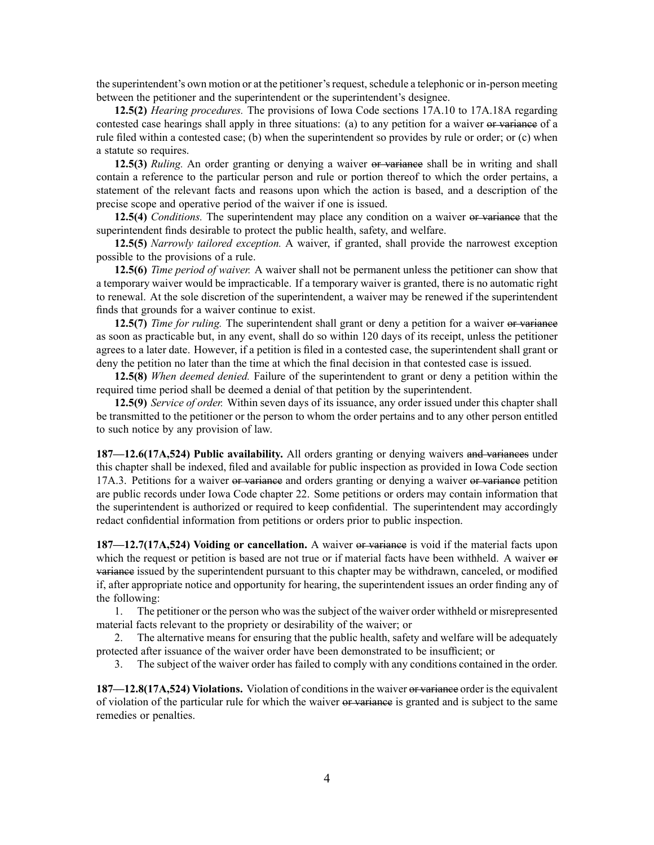the superintendent's own motion or at the petitioner's request, schedule a telephonic or in-person meeting between the petitioner and the superintendent or the superintendent's designee.

**12.5(2)** *Hearing procedures.* The provisions of Iowa Code sections 17A.10 to [17A.18A](https://www.legis.iowa.gov/docs/ico/section/17A.10-18A.pdf) regarding contested case hearings shall apply in three situations: (a) to any petition for a waiver or variance of a rule filed within <sup>a</sup> contested case; (b) when the superintendent so provides by rule or order; or (c) when <sup>a</sup> statute so requires.

**12.5(3)** *Ruling.* An order granting or denying <sup>a</sup> waiver or variance shall be in writing and shall contain <sup>a</sup> reference to the particular person and rule or portion thereof to which the order pertains, <sup>a</sup> statement of the relevant facts and reasons upon which the action is based, and <sup>a</sup> description of the precise scope and operative period of the waiver if one is issued.

**12.5(4)** *Conditions.* The superintendent may place any condition on <sup>a</sup> waiver or variance that the superintendent finds desirable to protect the public health, safety, and welfare.

**12.5(5)** *Narrowly tailored exception.* A waiver, if granted, shall provide the narrowest exception possible to the provisions of <sup>a</sup> rule.

**12.5(6)** *Time period of waiver.* A waiver shall not be permanen<sup>t</sup> unless the petitioner can show that <sup>a</sup> temporary waiver would be impracticable. If <sup>a</sup> temporary waiver is granted, there is no automatic right to renewal. At the sole discretion of the superintendent, <sup>a</sup> waiver may be renewed if the superintendent finds that grounds for <sup>a</sup> waiver continue to exist.

**12.5(7)** *Time for ruling.* The superintendent shall gran<sup>t</sup> or deny <sup>a</sup> petition for <sup>a</sup> waiver or variance as soon as practicable but, in any event, shall do so within 120 days of its receipt, unless the petitioner agrees to <sup>a</sup> later date. However, if <sup>a</sup> petition is filed in <sup>a</sup> contested case, the superintendent shall gran<sup>t</sup> or deny the petition no later than the time at which the final decision in that contested case is issued.

**12.5(8)** *When deemed denied.* Failure of the superintendent to gran<sup>t</sup> or deny <sup>a</sup> petition within the required time period shall be deemed <sup>a</sup> denial of that petition by the superintendent.

**12.5(9)** *Service of order.* Within seven days of its issuance, any order issued under this chapter shall be transmitted to the petitioner or the person to whom the order pertains and to any other person entitled to such notice by any provision of law.

**187—12.6(17A,524) Public availability.** All orders granting or denying waivers and variances under this chapter shall be indexed, filed and available for public inspection as provided in Iowa Code section [17A.3](https://www.legis.iowa.gov/docs/ico/section/17A.3.pdf). Petitions for a waiver or variance and orders granting or denying a waiver or variance petition are public records under Iowa Code chapter [22](https://www.legis.iowa.gov/docs/ico/chapter/22.pdf). Some petitions or orders may contain information that the superintendent is authorized or required to keep confidential. The superintendent may accordingly redact confidential information from petitions or orders prior to public inspection.

**187—12.7(17A,524) Voiding or cancellation.** A waiver or variance is void if the material facts upon which the request or petition is based are not true or if material facts have been withheld. A waiver  $\Theta$ variance issued by the superintendent pursuan<sup>t</sup> to this chapter may be withdrawn, canceled, or modified if, after appropriate notice and opportunity for hearing, the superintendent issues an order finding any of the following:

1. The petitioner or the person who was the subject of the waiver order withheld or misrepresented material facts relevant to the propriety or desirability of the waiver; or

2. The alternative means for ensuring that the public health, safety and welfare will be adequately protected after issuance of the waiver order have been demonstrated to be insufficient; or

3. The subject of the waiver order has failed to comply with any conditions contained in the order.

**187—12.8(17A,524) Violations.** Violation of conditionsin the waiver or variance order isthe equivalent of violation of the particular rule for which the waiver or variance is granted and is subject to the same remedies or penalties.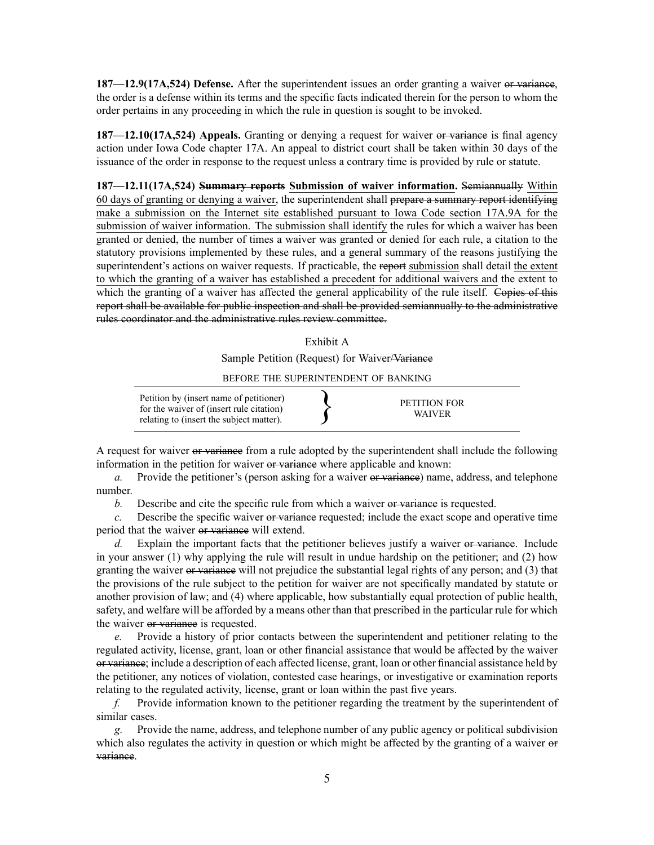**187—12.9(17A,524) Defense.** After the superintendent issues an order granting <sup>a</sup> waiver or variance, the order is <sup>a</sup> defense within its terms and the specific facts indicated therein for the person to whom the order pertains in any proceeding in which the rule in question is sought to be invoked.

**187—12.10(17A,524) Appeals.** Granting or denying <sup>a</sup> reques<sup>t</sup> for waiver or variance is final agency action under Iowa Code chapter [17A](https://www.legis.iowa.gov/docs/ico/chapter/17A.pdf). An appeal to district court shall be taken within 30 days of the issuance of the order in response to the reques<sup>t</sup> unless <sup>a</sup> contrary time is provided by rule or statute.

**187—12.11(17A,524) Summary reports Submission of waiver information.** Semiannually Within 60 days of granting or denying <sup>a</sup> waiver, the superintendent shall prepare <sup>a</sup> summary repor<sup>t</sup> identifying make <sup>a</sup> submission on the Internet site established pursuan<sup>t</sup> to Iowa Code section [17A.9A](https://www.legis.iowa.gov/docs/ico/section/17A.9A.pdf) for the submission of waiver information. The submission shall identify the rules for which <sup>a</sup> waiver has been granted or denied, the number of times <sup>a</sup> waiver was granted or denied for each rule, <sup>a</sup> citation to the statutory provisions implemented by these rules, and <sup>a</sup> general summary of the reasons justifying the superintendent's actions on waiver requests. If practicable, the report submission shall detail the extent to which the granting of <sup>a</sup> waiver has established <sup>a</sup> precedent for additional waivers and the extent to which the granting of a waiver has affected the general applicability of the rule itself. Copies of this repor<sup>t</sup> shall be available for public inspection and shall be provided semiannually to the administrative rules coordinator and the administrative rules review committee.

Exhibit A

Sample Petition (Request) for Waiver/Variance

BEFORE THE SUPERINTENDENT OF BANKING

| Petition by (insert name of petitioner)<br>for the waiver of (insert rule citation)<br>relating to (insert the subject matter). | PETITION FOR | <b>WAIVER</b> |
|---------------------------------------------------------------------------------------------------------------------------------|--------------|---------------|
|---------------------------------------------------------------------------------------------------------------------------------|--------------|---------------|

A reques<sup>t</sup> for waiver or variance from <sup>a</sup> rule adopted by the superintendent shall include the following information in the petition for waiver or variance where applicable and known:

*a.* Provide the petitioner's (person asking for a waiver or variance) name, address, and telephone number.

*b.* Describe and cite the specific rule from which a waiver or variance is requested.

*c.* Describe the specific waiver or variance requested; include the exact scope and operative time period that the waiver or variance will extend.

*d.* Explain the important facts that the petitioner believes justify a waiver or variance. Include in your answer (1) why applying the rule will result in undue hardship on the petitioner; and (2) how granting the waiver or variance will not prejudice the substantial legal rights of any person; and (3) that the provisions of the rule subject to the petition for waiver are not specifically mandated by statute or another provision of law; and (4) where applicable, how substantially equal protection of public health, safety, and welfare will be afforded by <sup>a</sup> means other than that prescribed in the particular rule for which the waiver or variance is requested.

*e.* Provide <sup>a</sup> history of prior contacts between the superintendent and petitioner relating to the regulated activity, license, grant, loan or other financial assistance that would be affected by the waiver or variance; include <sup>a</sup> description of each affected license, grant, loan or other financial assistance held by the petitioner, any notices of violation, contested case hearings, or investigative or examination reports relating to the regulated activity, license, gran<sup>t</sup> or loan within the pas<sup>t</sup> five years.

*f.* Provide information known to the petitioner regarding the treatment by the superintendent of similar cases.

*g.* Provide the name, address, and telephone number of any public agency or political subdivision which also regulates the activity in question or which might be affected by the granting of a waiver  $\Theta$ variance.